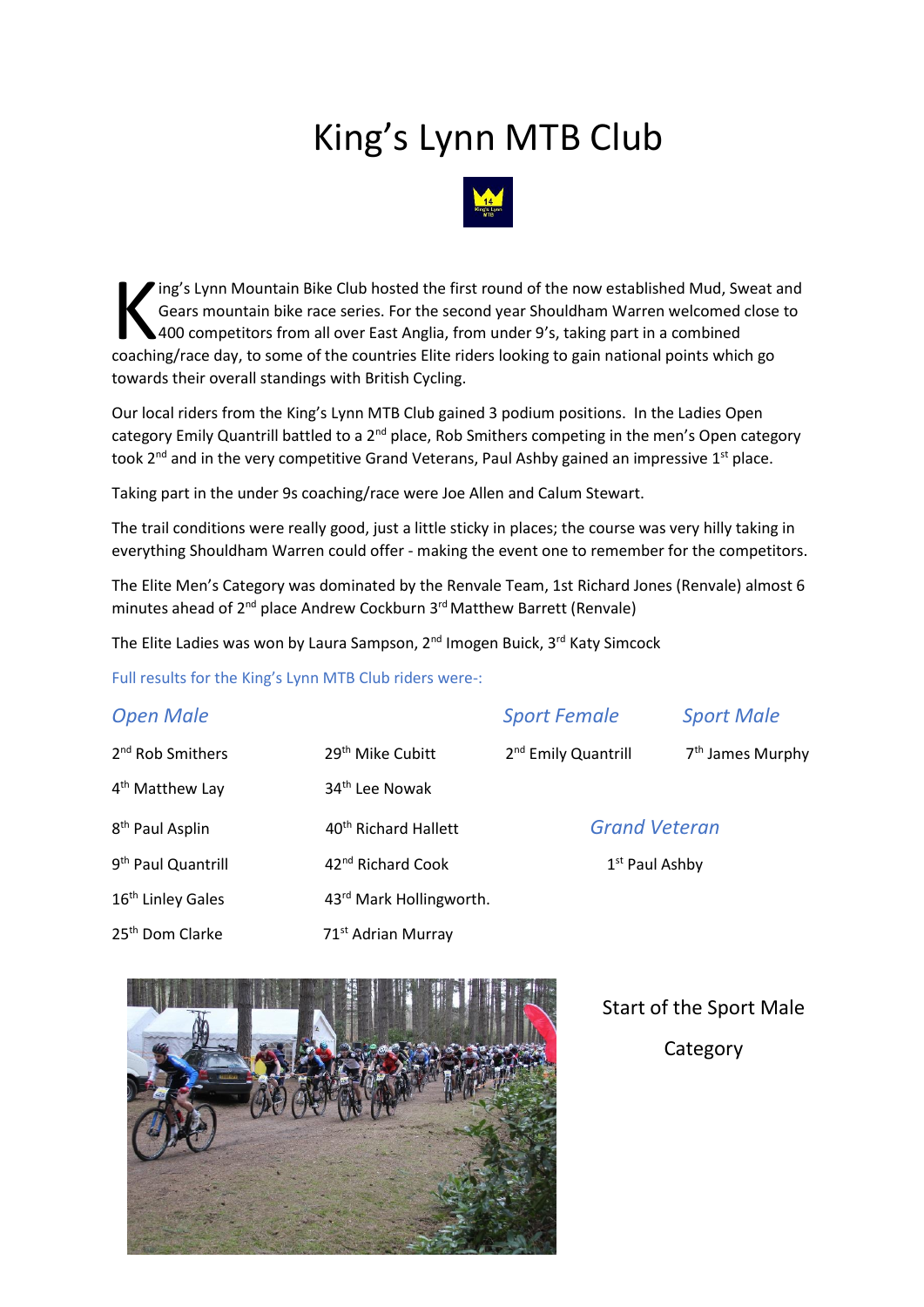## King's Lynn MTB Club



ing's Lynn Mountain Bike Club hosted the first round of the now established Mud, Sweat and Gears mountain bike race series. For the second year Shouldham Warren welcomed close to 400 competitors from all over East Anglia, from under 9's, taking part in a combined ing's Lynn Mountain Bike Club hosted the first round of the now established Mud, Sweat and Gears mountain bike race series. For the second year Shouldham Warren welcomed close 400 competitors from all over East Anglia, fro towards their overall standings with British Cycling.

Our local riders from the King's Lynn MTB Club gained 3 podium positions. In the Ladies Open category Emily Quantrill battled to a 2<sup>nd</sup> place, Rob Smithers competing in the men's Open category took 2<sup>nd</sup> and in the very competitive Grand Veterans, Paul Ashby gained an impressive 1<sup>st</sup> place.

Taking part in the under 9s coaching/race were Joe Allen and Calum Stewart.

The trail conditions were really good, just a little sticky in places; the course was very hilly taking in everything Shouldham Warren could offer - making the event one to remember for the competitors.

The Elite Men's Category was dominated by the Renvale Team, 1st Richard Jones (Renvale) almost 6 minutes ahead of 2<sup>nd</sup> place Andrew Cockburn 3<sup>rd</sup> Matthew Barrett (Renvale)

The Elite Ladies was won by Laura Sampson, 2<sup>nd</sup> Imogen Buick, 3<sup>rd</sup> Katy Simcock

Full results for the King's Lynn MTB Club riders were-:

| <b>Open Male</b>               |                                  | <b>Sport Female</b>             | <b>Sport Male</b>            |
|--------------------------------|----------------------------------|---------------------------------|------------------------------|
| 2 <sup>nd</sup> Rob Smithers   | 29 <sup>th</sup> Mike Cubitt     | 2 <sup>nd</sup> Emily Quantrill | 7 <sup>th</sup> James Murphy |
| 4 <sup>th</sup> Matthew Lay    | 34 <sup>th</sup> Lee Nowak       |                                 |                              |
| 8 <sup>th</sup> Paul Asplin    | 40 <sup>th</sup> Richard Hallett | <b>Grand Veteran</b>            |                              |
| 9 <sup>th</sup> Paul Quantrill | 42 <sup>nd</sup> Richard Cook    | 1 <sup>st</sup> Paul Ashby      |                              |
| 16 <sup>th</sup> Linley Gales  | 43rd Mark Hollingworth.          |                                 |                              |
| 25 <sup>th</sup> Dom Clarke    | 71 <sup>st</sup> Adrian Murray   |                                 |                              |



 Start of the Sport Male **Category**